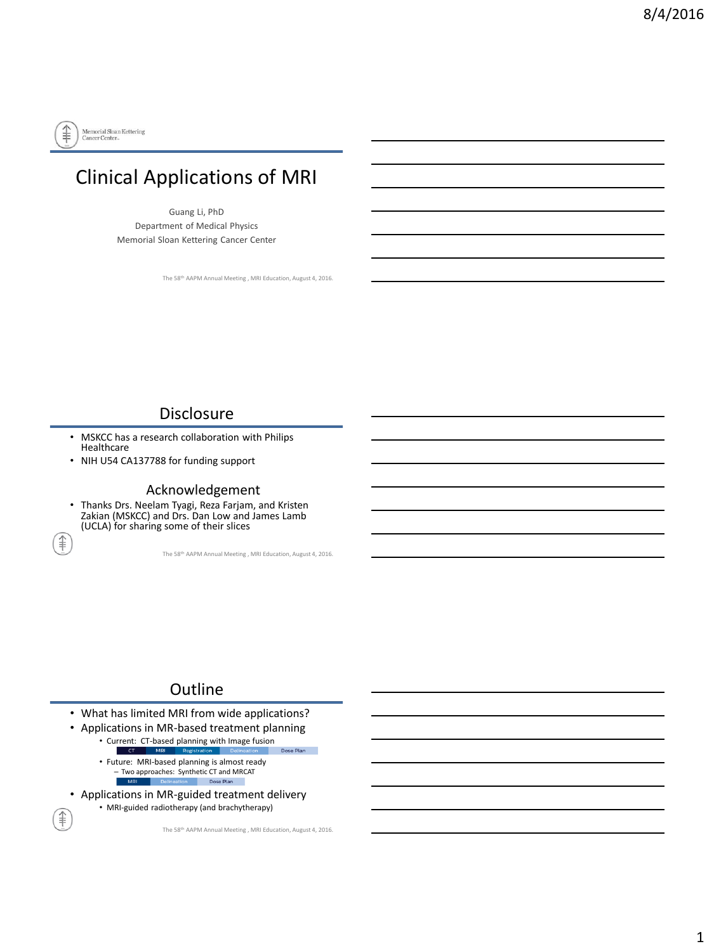

ิ์ ≢ิ

ੂੰ

# Clinical Applications of MRI

Guang Li, PhD Department of Medical Physics Memorial Sloan Kettering Cancer Center

The 58th AAPM Annual Meeting , MRI Education, August 4, 2016.

#### **Disclosure**

- MSKCC has a research collaboration with Philips Healthcare
- NIH U54 CA137788 for funding support

#### Acknowledgement

• Thanks Drs. Neelam Tyagi, Reza Farjam, and Kristen Zakian (MSKCC) and Drs. Dan Low and James Lamb (UCLA) for sharing some of their slices

The 58th AAPM Annual Meeting , MRI Education, August 4, 2016.

#### **Outline**

- What has limited MRI from wide applications?
- Applications in MR-based treatment planning
	- Current: CT-based planning with Image fusion Dose Plan • Future: MRI-based planning is almost ready
		- Two approaches: Synthetic CT and MRCAT  $\blacksquare$  MF Dose Plan
- Applications in MR-guided treatment delivery • MRI-guided radiotherapy (and brachytherapy)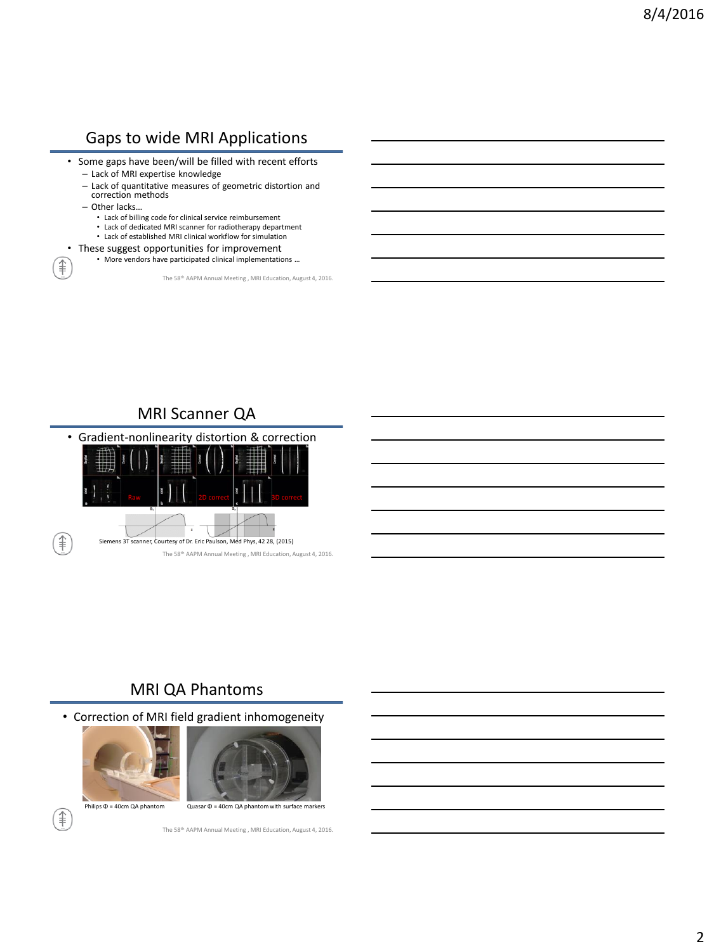#### Gaps to wide MRI Applications

- Some gaps have been/will be filled with recent efforts – Lack of MRI expertise knowledge
	- Lack of quantitative measures of geometric distortion and correction methods
	- Other lacks…

t

- Lack of billing code for clinical service reimbursement
- Lack of dedicated MRI scanner for radiotherapy department
- Lack of established MRI clinical workflow for simulation
- These suggest opportunities for improvement
	- More vendors have participated clinical implementations …

The 58th AAPM Annual Meeting , MRI Education, August 4, 2016.

# MRI Scanner QA



#### MRI QA Phantoms

• Correction of MRI field gradient inhomogeneity





Philips Φ = 40cm QA phantom Quasar Φ = 40cm QA phantom with surface markers

ਿੱ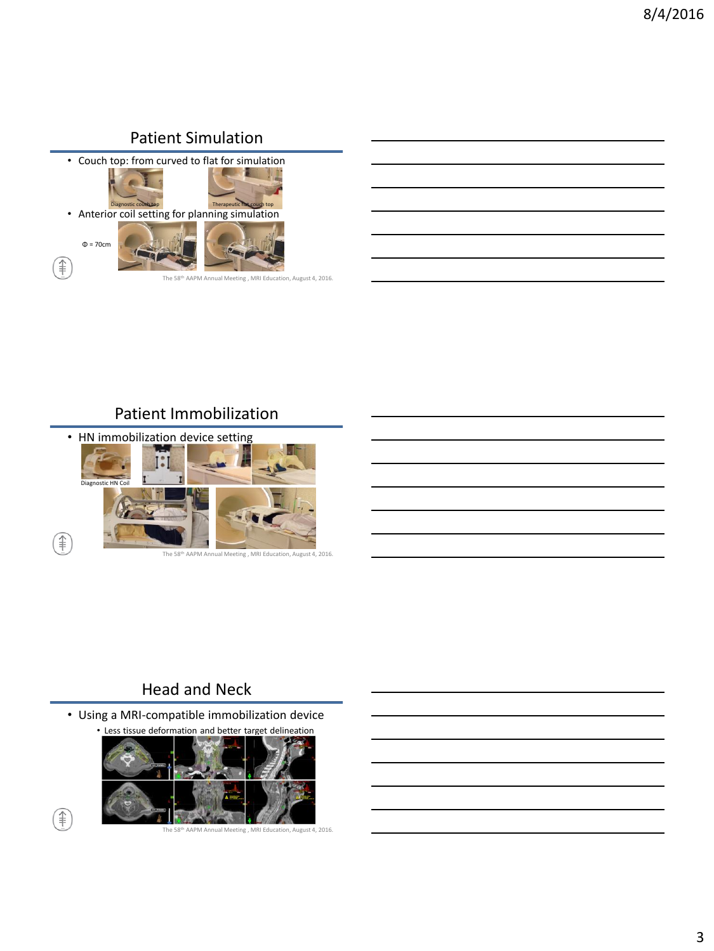### Patient Simulation

• Couch top: from curved to flat for simulation **•** Therapeutic flat couch top Therapeutic flat couch top Therapeutic flat couch top Therapeutic flat couch top Therapeutic flat couch top Therapeutic flat couch top Therapeutic flat couch top Therapeutic flat couch top Th Φ = 70cm F) The 58th AAPM Annual Meeting , MRI Education, August 4, 2016.

#### Patient Immobilization



#### Head and Neck

• Using a MRI-compatible immobilization device • Less tissue deformation and better target delineation



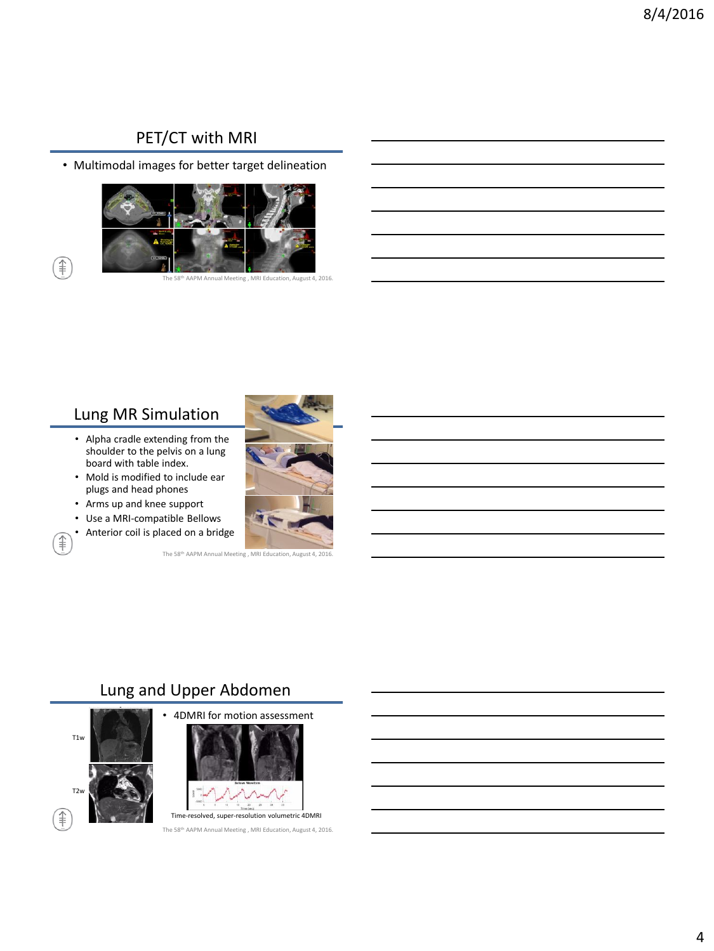#### PET/CT with MRI

• Multimodal images for better target delineation



AAPM Annual Meeting , MRI Education, August 4, 2016.

#### Lung MR Simulation

€

€

- Alpha cradle extending from the shoulder to the pelvis on a lung board with table index.
- Mold is modified to include ear plugs and head phones
- Arms up and knee support
- Use a MRI-compatible Bellows
- Anterior coil is placed on a bridge



#### Lung and Upper Abdomen



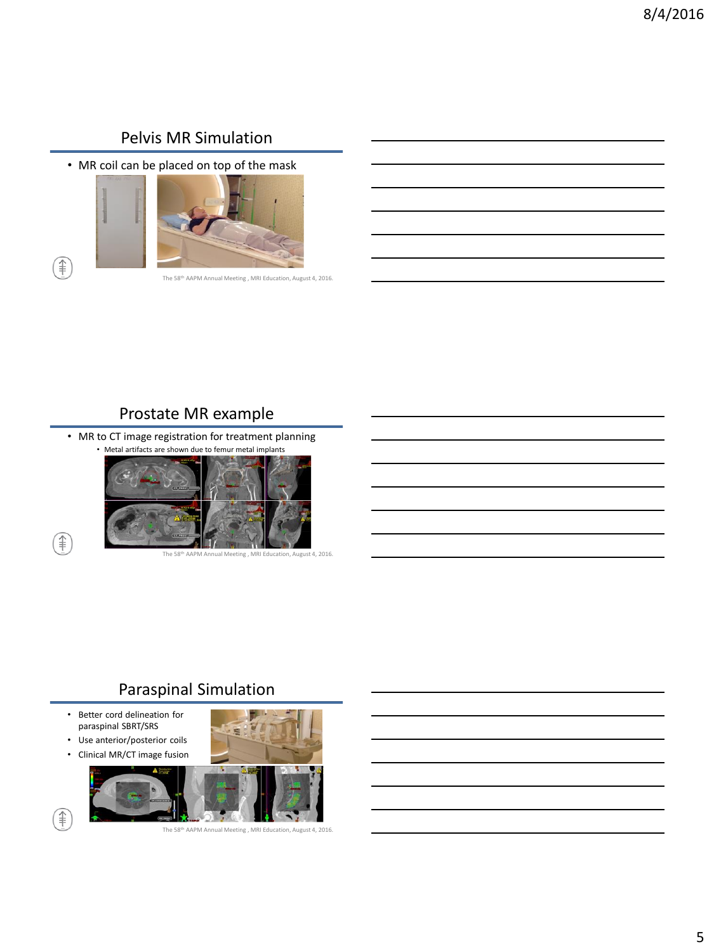### Pelvis MR Simulation

• MR coil can be placed on top of the mask



The 58th AAPM Annual Meeting , MRI Education, August 4, 2016.

#### Prostate MR example

• MR to CT image registration for treatment planning



#### Paraspinal Simulation

- Better cord delineation for paraspinal SBRT/SRS
- Use anterior/posterior coils
- Clinical MR/CT image fusion





€

ਿੱ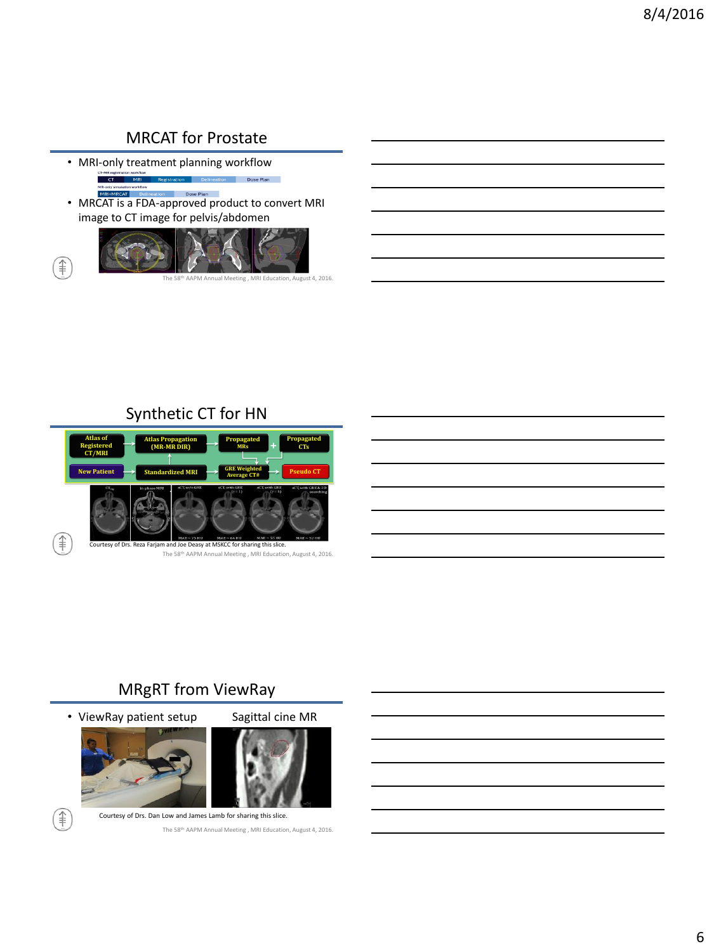# MRCAT for Prostate

• MRI-only treatment planning workflow CT-MR regi workflow<br>MRI **Example 1**<br> **Dose Plan** 

∉

• MRCAT is a FDA-approved product to convert MRI image to CT image for pelvis/abdomen



al Meeting , MRI Education, August 4, 2016.

# Synthetic CT for HN



# MRgRT from ViewRay

• ViewRay patient setup Sagittal cine MR

F)







Courtesy of Drs. Dan Low and James Lamb for sharing this slice. The 58th AAPM Annual Meeting , MRI Education, August 4, 2016.